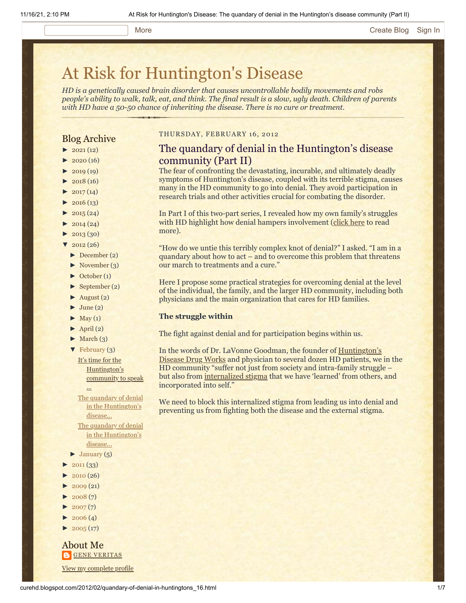# [At Risk for Huntington's Disease](http://curehd.blogspot.com/)

*HD is a genetically caused brain disorder that causes uncontrollable bodily movements and robs people's ability to walk, talk, eat, and think. The final result is a slow, ugly death. Children of parents with HD have a 50-50 chance of inheriting the disease. There is no cure or treatment.*

# Blog Archive

- $\blacktriangleright$  [2021](http://curehd.blogspot.com/2021/)(12)
- $2020(16)$  $2020(16)$
- $2019(19)$  $2019(19)$
- $\blacktriangleright$  [2018](http://curehd.blogspot.com/2018/) (16)
- $2017(14)$  $2017(14)$
- $2016(13)$  $2016(13)$
- $\blacktriangleright$  [2015](http://curehd.blogspot.com/2015/) (24)
- $\blacktriangleright$  [2014](http://curehd.blogspot.com/2014/) (24)
- $\blacktriangleright$  [2013](http://curehd.blogspot.com/2013/) (30)
- $'$  [2012](http://curehd.blogspot.com/2012/) (26)
	- [►](javascript:void(0)) [December](http://curehd.blogspot.com/2012/12/) (2)
	- $\blacktriangleright$  [November](http://curehd.blogspot.com/2012/11/) (3)
	- [►](javascript:void(0)) [October](http://curehd.blogspot.com/2012/10/) (1)
	- [►](javascript:void(0)) [September](http://curehd.blogspot.com/2012/09/) (2)
	- $\blacktriangleright$  [August](http://curehd.blogspot.com/2012/08/) (2)
	- $\blacktriangleright$  [June](http://curehd.blogspot.com/2012/06/) (2)
	- $\blacktriangleright$  [May](http://curehd.blogspot.com/2012/05/) (1)
	- $\blacktriangleright$  [April](http://curehd.blogspot.com/2012/04/) (2)
	- $\blacktriangleright$  [March](http://curehd.blogspot.com/2012/03/) (3)

...

[▼](javascript:void(0)) [February](http://curehd.blogspot.com/2012/02/) (3) It's time for the [Huntington's](http://curehd.blogspot.com/2012/02/its-time-for-huntingtons-community-to.html) community to speak

The quandary of denial in the [Huntington's](http://curehd.blogspot.com/2012/02/quandary-of-denial-in-huntingtons_16.html) disease... The quandary of denial in the [Huntington's](http://curehd.blogspot.com/2012/02/quandary-of-denial-in-huntingtons.html) disease...

- $\blacktriangleright$  [January](http://curehd.blogspot.com/2012/01/)  $(5)$
- $\blacktriangleright$  [2011](http://curehd.blogspot.com/2011/) (33)
- $2010(26)$  $2010(26)$
- $\blacktriangleright$  [2009](http://curehd.blogspot.com/2009/) (21)
- $\blacktriangleright$  [2008](http://curehd.blogspot.com/2008/) $(7)$
- $\blacktriangleright$  [2007](http://curehd.blogspot.com/2007/) $(7)$
- $2006(4)$  $2006(4)$
- $\blacktriangleright$  [2005](http://curehd.blogspot.com/2005/) (17)

About Me **GENE [VERITAS](https://www.blogger.com/profile/10911736205741688185)** View my [complete](https://www.blogger.com/profile/10911736205741688185) profile

## THURSDAY, FEBRUARY 16, 2012

# The quandary of denial in the Huntington's disease community (Part II)

The fear of confronting the devastating, incurable, and ultimately deadly symptoms of Huntington's disease, coupled with its terrible stigma, causes many in the HD community to go into denial. They avoid participation in research trials and other activities crucial for combating the disorder.

In Part I of this two-part series, I revealed how my own family's struggles with HD highlight how denial hampers involvement ([click here](http://www.curehd.blogspot.com/2012/02/quandary-of-denial-in-huntingtons.html) to read more).

"How do we untie this terribly complex knot of denial?" I asked. "I am in a quandary about how to act – and to overcome this problem that threatens our march to treatments and a cure."

Here I propose some practical strategies for overcoming denial at the level of the individual, the family, and the larger HD community, including both physicians and the main organization that cares for HD families.

#### **The struggle within**

The fight against denial and for participation begins within us.

[In the words of Dr. LaVonne Goodman, the founder of Huntington's](http://www.hddrugworks.org/) Disease Drug Works and physician to several dozen HD patients, we in the HD community "suffer not just from society and intra-family struggle – but also from [internalized stigma](http://hddrugworks.org/index.php?option=com_content&task=view&id=306&Itemid=30) that we have 'learned' from others, and incorporated into self."

We need to block this internalized stigma from leading us into denial and preventing us from fighting both the disease and the external stigma.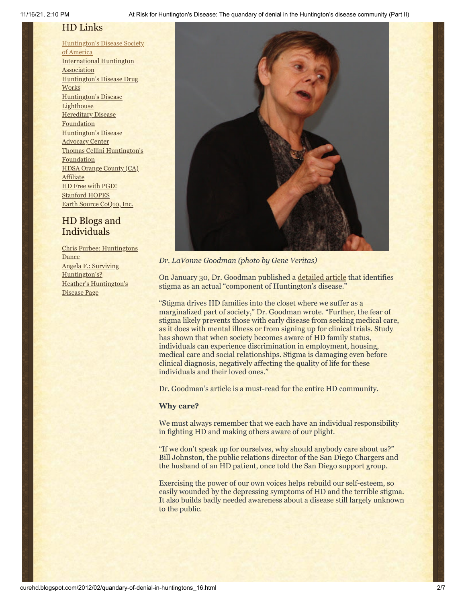# HD Links

[Huntington's](http://www.hdsa.org/) Disease Society of America [International](http://www.huntington-assoc.com/) Huntington **Association** [Huntington's](http://hddrugworks.org/) Disease Drug **Works** [Huntington's](http://www.hdlighthouse.org/) Disease **Lighthouse Hereditary Disease [Foundation](http://www.hdfoundation.org/)** [Huntington's](http://www.hdac.org/) Disease Advocacy Center Thomas [Cellini Huntington's](http://www.ourtchfoundation.org/) **Foundation** HDSA Orange County (CA) **[Affiliate](http://www.hdsaoc.org/)** HD Free with [PGD!](http://www.hdfreewithpgd.com/) [Stanford](http://www.stanford.edu/group/hopes/) HOPES Earth Source [CoQ10,](http://www.escoq10.com/) Inc.

# HD Blogs and Individuals

Chris Furbee: [Huntingtons](http://www.huntingtonsdance.org/) **Dance** Angela F.: Surviving [Huntington's?](http://survivinghuntingtons.blogspot.com/) Heather's [Huntington's](http://heatherdugdale.angelfire.com/) Disease Page



*Dr. LaVonne Goodman (photo by Gene Veritas)*

On January 30, Dr. Goodman published a [detailed article](http://hddrugworks.org/index.php?option=com_content&task=view&id=307&Itemid=30) that identifies stigma as an actual "component of Huntington's disease."

"Stigma drives HD families into the closet where we suffer as a marginalized part of society," Dr. Goodman wrote. "Further, the fear of stigma likely prevents those with early disease from seeking medical care, as it does with mental illness or from signing up for clinical trials. Study has shown that when society becomes aware of HD family status, individuals can experience discrimination in employment, housing, medical care and social relationships. Stigma is damaging even before clinical diagnosis, negatively affecting the quality of life for these individuals and their loved ones."

Dr. Goodman's article is a must-read for the entire HD community.

# **Why care?**

We must always remember that we each have an individual responsibility in fighting HD and making others aware of our plight.

"If we don't speak up for ourselves, why should anybody care about us?" Bill Johnston, the public relations director of the San Diego Chargers and the husband of an HD patient, once told the San Diego support group.

Exercising the power of our own voices helps rebuild our self-esteem, so easily wounded by the depressing symptoms of HD and the terrible stigma. It also builds badly needed awareness about a disease still largely unknown to the public.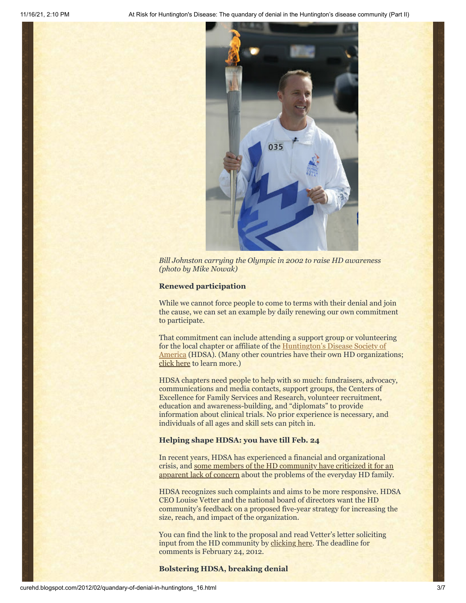

*Bill Johnston carrying the Olympic in 2002 to raise HD awareness (photo by Mike Nowak)*

#### **Renewed participation**

While we cannot force people to come to terms with their denial and join the cause, we can set an example by daily renewing our own commitment to participate.

That commitment can include attending a support group or volunteering for the local chapter or affiliate of the **Huntington's Disease Society of** America (HDSA). (Many other countries have their own HD organizations; [click here](http://www.huntington-assoc.com/) to learn more.)

HDSA chapters need people to help with so much: fundraisers, advocacy, communications and media contacts, support groups, the Centers of Excellence for Family Services and Research, volunteer recruitment, education and awareness-building, and "diplomats" to provide information about clinical trials. No prior experience is necessary, and individuals of all ages and skill sets can pitch in.

# **Helping shape HDSA: you have till Feb. 24**

In recent years, HDSA has experienced a financial and organizational [crisis, and some members of the HD community have criticized it for an](http://www.curehd.blogspot.com/2011/10/making-sense-of-huntingtons.html) apparent lack of concern about the problems of the everyday HD family.

HDSA recognizes such complaints and aims to be more responsive. HDSA CEO Louise Vetter and the national board of directors want the HD community's feedback on a proposed five-year strategy for increasing the size, reach, and impact of the organization.

You can find the link to the proposal and read Vetter's letter soliciting input from the HD community by [clicking here.](http://www.hdsa.org/strategic-plan-2012.html) The deadline for comments is February 24, 2012.

# **Bolstering HDSA, breaking denial**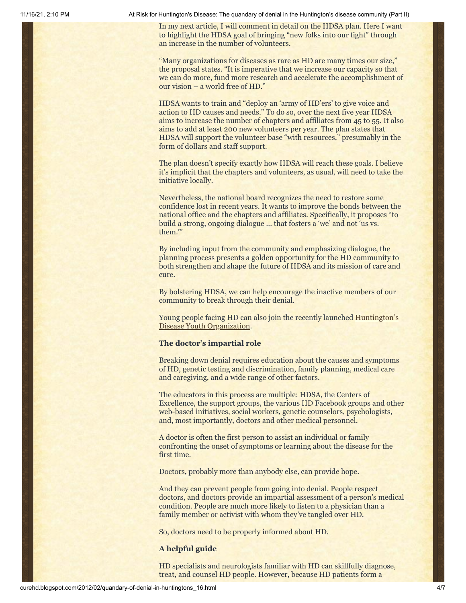11/16/21, 2:10 PM At Risk for Huntington's Disease: The quandary of denial in the Huntington's disease community (Part II)

In my next article, I will comment in detail on the HDSA plan. Here I want to highlight the HDSA goal of bringing "new folks into our fight" through an increase in the number of volunteers.

"Many organizations for diseases as rare as HD are many times our size," the proposal states. "It is imperative that we increase our capacity so that we can do more, fund more research and accelerate the accomplishment of our vision – a world free of HD."

HDSA wants to train and "deploy an 'army of HD'ers' to give voice and action to HD causes and needs." To do so, over the next five year HDSA aims to increase the number of chapters and affiliates from 45 to 55. It also aims to add at least 200 new volunteers per year. The plan states that HDSA will support the volunteer base "with resources," presumably in the form of dollars and staff support.

The plan doesn't specify exactly how HDSA will reach these goals. I believe it's implicit that the chapters and volunteers, as usual, will need to take the initiative locally.

Nevertheless, the national board recognizes the need to restore some confidence lost in recent years. It wants to improve the bonds between the national office and the chapters and affiliates. Specifically, it proposes "to build a strong, ongoing dialogue … that fosters a 'we' and not 'us vs. them.'"

By including input from the community and emphasizing dialogue, the planning process presents a golden opportunity for the HD community to both strengthen and shape the future of HDSA and its mission of care and cure.

By bolstering HDSA, we can help encourage the inactive members of our community to break through their denial.

[Young people facing HD can also join the recently launched Huntington's](http://en.hdyo.org/) Disease Youth Organization.

# **The doctor's impartial role**

Breaking down denial requires education about the causes and symptoms of HD, genetic testing and discrimination, family planning, medical care and caregiving, and a wide range of other factors.

The educators in this process are multiple: HDSA, the Centers of Excellence, the support groups, the various HD Facebook groups and other web-based initiatives, social workers, genetic counselors, psychologists, and, most importantly, doctors and other medical personnel.

A doctor is often the first person to assist an individual or family confronting the onset of symptoms or learning about the disease for the first time.

Doctors, probably more than anybody else, can provide hope.

And they can prevent people from going into denial. People respect doctors, and doctors provide an impartial assessment of a person's medical condition. People are much more likely to listen to a physician than a family member or activist with whom they've tangled over HD.

So, doctors need to be properly informed about HD.

# **A helpful guide**

HD specialists and neurologists familiar with HD can skillfully diagnose, treat, and counsel HD people. However, because HD patients form a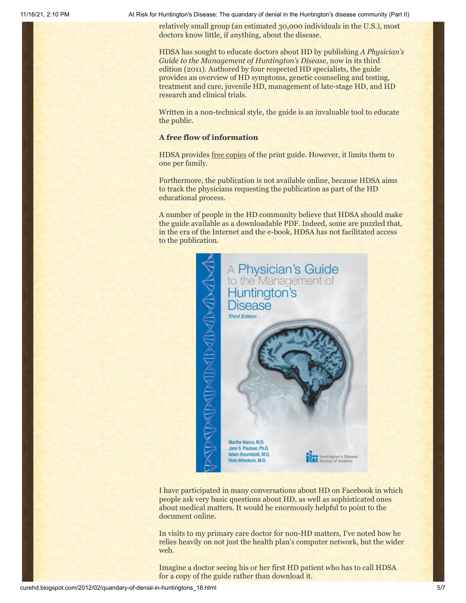11/16/21, 2:10 PM At Risk for Huntington's Disease: The quandary of denial in the Huntington's disease community (Part II)

relatively small group (an estimated 30,000 individuals in the U.S.), most doctors know little, if anything, about the disease.

HDSA has sought to educate doctors about HD by publishing *A Physician's Guide to the Management of Huntington's Disease*, now in its third edition (2011). Authored by four respected HD specialists, the guide provides an overview of HD symptoms, genetic counseling and testing, treatment and care, juvenile HD, management of late-stage HD, and HD research and clinical trials.

Written in a non-technical style, the guide is an invaluable tool to educate the public.

# **A free flow of information**

HDSA provides [free copies](http://www.hdsa.org/new-physicians-guide.html) of the print guide. However, it limits them to one per family.

Furthermore, the publication is not available online, because HDSA aims to track the physicians requesting the publication as part of the HD educational process.

A number of people in the HD community believe that HDSA should make the guide available as a downloadable PDF. Indeed, some are puzzled that, in the era of the Internet and the e-book, HDSA has not facilitated access to the publication.



I have participated in many conversations about HD on Facebook in which people ask very basic questions about HD, as well as sophisticated ones about medical matters. It would be enormously helpful to point to the document online.

In visits to my primary care doctor for non-HD matters, I've noted how he relies heavily on not just the health plan's computer network, but the wider web.

Imagine a doctor seeing his or her first HD patient who has to call HDSA for a copy of the guide rather than download it.